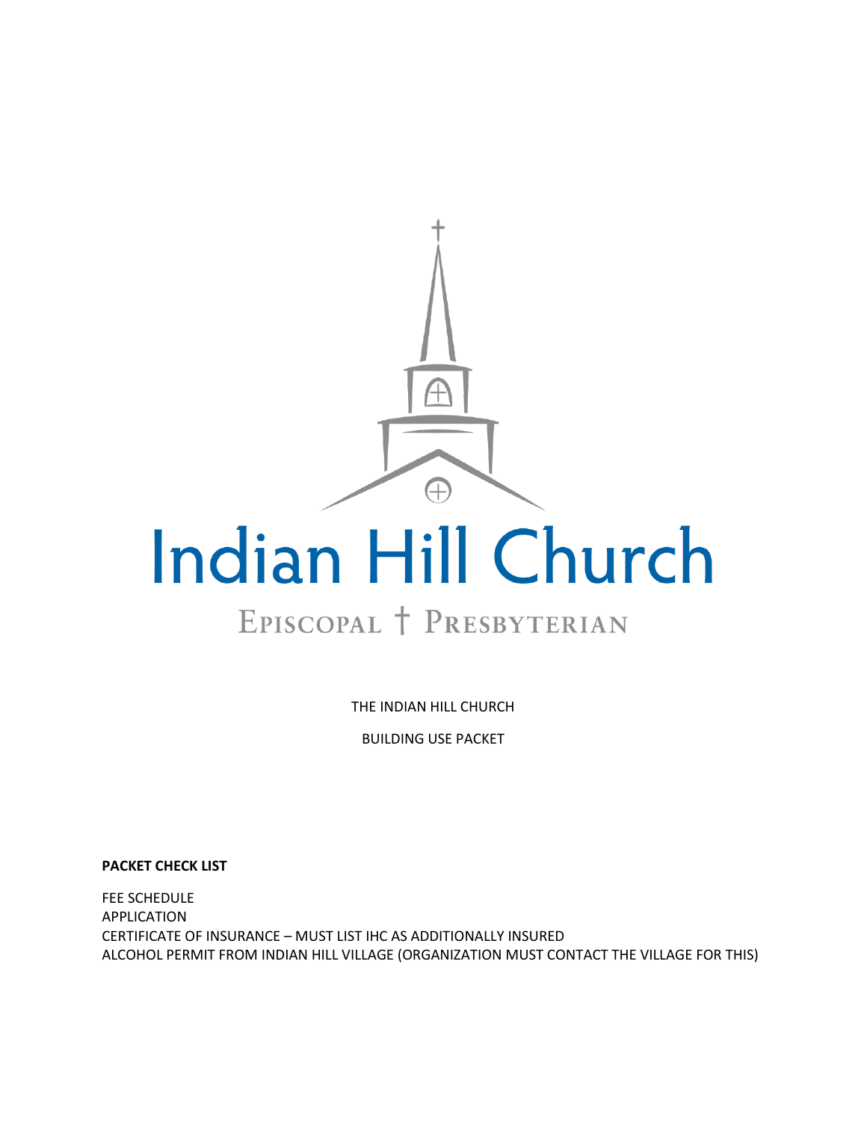

# EPISCOPAL T PRESBYTERIAN

THE INDIAN HILL CHURCH

BUILDING USE PACKET

**PACKET CHECK LIST**

FEE SCHEDULE APPLICATION CERTIFICATE OF INSURANCE – MUST LIST IHC AS ADDITIONALLY INSURED ALCOHOL PERMIT FROM INDIAN HILL VILLAGE (ORGANIZATION MUST CONTACT THE VILLAGE FOR THIS)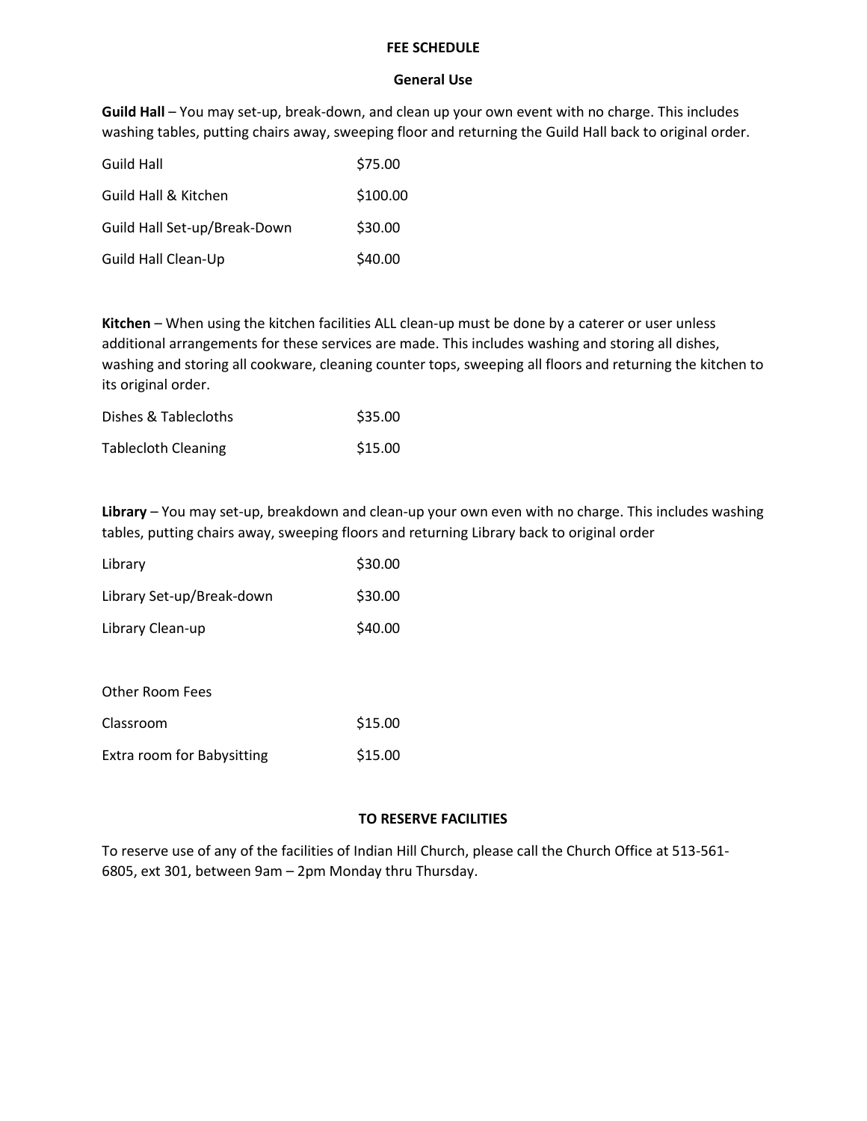### **FEE SCHEDULE**

## **General Use**

**Guild Hall** – You may set-up, break-down, and clean up your own event with no charge. This includes washing tables, putting chairs away, sweeping floor and returning the Guild Hall back to original order.

| Guild Hall                   | \$75.00  |
|------------------------------|----------|
| Guild Hall & Kitchen         | \$100.00 |
| Guild Hall Set-up/Break-Down | \$30.00  |
| Guild Hall Clean-Up          | \$40.00  |

**Kitchen** – When using the kitchen facilities ALL clean-up must be done by a caterer or user unless additional arrangements for these services are made. This includes washing and storing all dishes, washing and storing all cookware, cleaning counter tops, sweeping all floors and returning the kitchen to its original order.

| Dishes & Tablecloths       | \$35.00 |
|----------------------------|---------|
| <b>Tablecloth Cleaning</b> | \$15.00 |

**Library** – You may set-up, breakdown and clean-up your own even with no charge. This includes washing tables, putting chairs away, sweeping floors and returning Library back to original order

| Library                   | \$30.00 |
|---------------------------|---------|
| Library Set-up/Break-down | \$30.00 |
| Library Clean-up          | \$40.00 |

Other Room Fees

| Classroom                  | \$15.00 |
|----------------------------|---------|
| Extra room for Babysitting | \$15.00 |

## **TO RESERVE FACILITIES**

To reserve use of any of the facilities of Indian Hill Church, please call the Church Office at 513-561- 6805, ext 301, between 9am – 2pm Monday thru Thursday.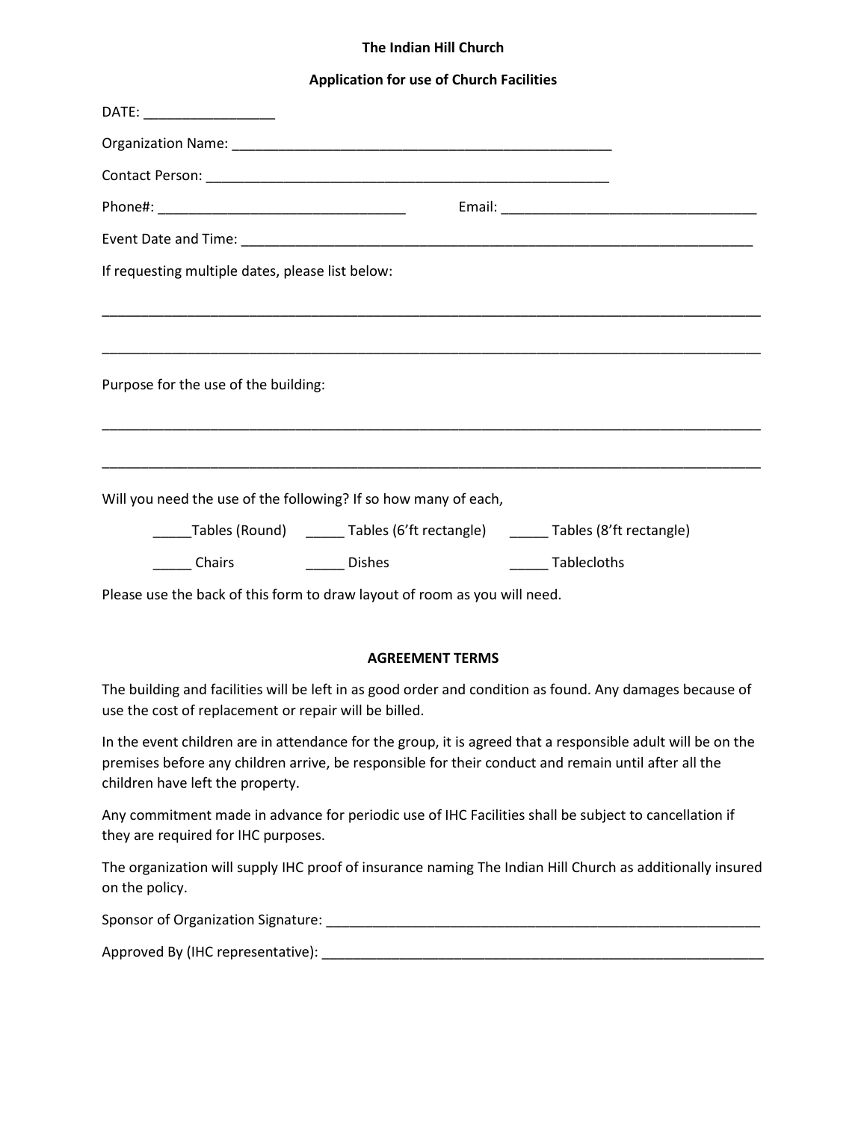### **The Indian Hill Church**

### **Application for use of Church Facilities**

| Email: Email: Email: Email: Email: Email: Email: Email: Email: Email: Email: Email: Email: Email: Email: Email: Email: Email: Email: Email: Email: Email: Email: Email: Email: Email: Email: Email: Email: Email: Email: Email                          |
|---------------------------------------------------------------------------------------------------------------------------------------------------------------------------------------------------------------------------------------------------------|
|                                                                                                                                                                                                                                                         |
| If requesting multiple dates, please list below:                                                                                                                                                                                                        |
|                                                                                                                                                                                                                                                         |
| Purpose for the use of the building:                                                                                                                                                                                                                    |
|                                                                                                                                                                                                                                                         |
| Will you need the use of the following? If so how many of each,                                                                                                                                                                                         |
| _____Tables (Round) _______Tables (6'ft rectangle) _______Tables (8'ft rectangle)                                                                                                                                                                       |
| Chairs _________ Dishes<br>Tablecloths                                                                                                                                                                                                                  |
| Please use the back of this form to draw layout of room as you will need.                                                                                                                                                                               |
| <b>AGREEMENT TERMS</b>                                                                                                                                                                                                                                  |
| The building and facilities will be left in as good order and condition as found. Any damages because of<br>use the cost of replacement or repair will be billed.                                                                                       |
| In the event children are in attendance for the group, it is agreed that a responsible adult will be on the<br>premises before any children arrive, be responsible for their conduct and remain until after all the<br>children have left the property. |

Any commitment made in advance for periodic use of IHC Facilities shall be subject to cancellation if they are required for IHC purposes.

The organization will supply IHC proof of insurance naming The Indian Hill Church as additionally insured on the policy.

Sponsor of Organization Signature: \_\_\_\_\_\_\_\_\_\_\_\_\_\_\_\_\_\_\_\_\_\_\_\_\_\_\_\_\_\_\_\_\_\_\_\_\_\_\_\_\_\_\_\_\_\_\_\_\_\_\_\_\_\_\_\_

Approved By (IHC representative): \_\_\_\_\_\_\_\_\_\_\_\_\_\_\_\_\_\_\_\_\_\_\_\_\_\_\_\_\_\_\_\_\_\_\_\_\_\_\_\_\_\_\_\_\_\_\_\_\_\_\_\_\_\_\_\_\_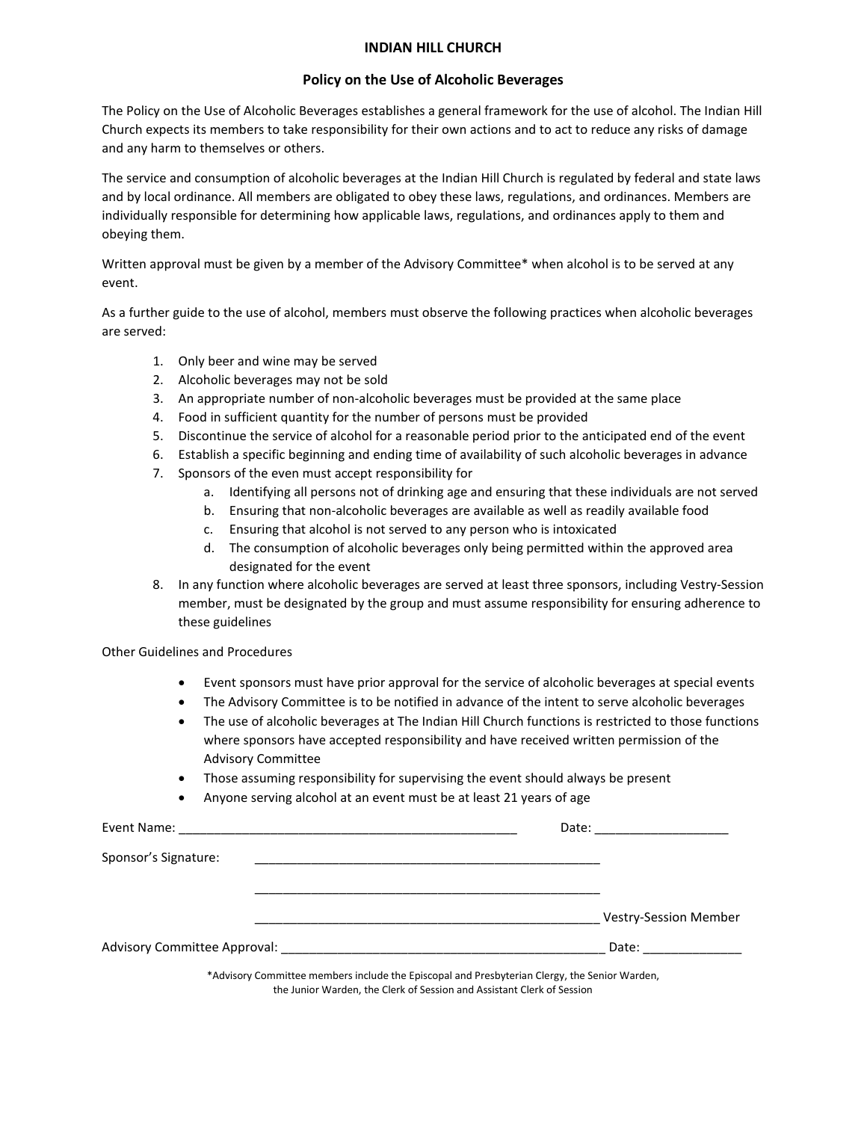#### **INDIAN HILL CHURCH**

#### **Policy on the Use of Alcoholic Beverages**

The Policy on the Use of Alcoholic Beverages establishes a general framework for the use of alcohol. The Indian Hill Church expects its members to take responsibility for their own actions and to act to reduce any risks of damage and any harm to themselves or others.

The service and consumption of alcoholic beverages at the Indian Hill Church is regulated by federal and state laws and by local ordinance. All members are obligated to obey these laws, regulations, and ordinances. Members are individually responsible for determining how applicable laws, regulations, and ordinances apply to them and obeying them.

Written approval must be given by a member of the Advisory Committee\* when alcohol is to be served at any event.

As a further guide to the use of alcohol, members must observe the following practices when alcoholic beverages are served:

- 1. Only beer and wine may be served
- 2. Alcoholic beverages may not be sold
- 3. An appropriate number of non-alcoholic beverages must be provided at the same place
- 4. Food in sufficient quantity for the number of persons must be provided
- 5. Discontinue the service of alcohol for a reasonable period prior to the anticipated end of the event
- 6. Establish a specific beginning and ending time of availability of such alcoholic beverages in advance
- 7. Sponsors of the even must accept responsibility for
	- a. Identifying all persons not of drinking age and ensuring that these individuals are not served
	- b. Ensuring that non-alcoholic beverages are available as well as readily available food
	- c. Ensuring that alcohol is not served to any person who is intoxicated
	- d. The consumption of alcoholic beverages only being permitted within the approved area designated for the event
- 8. In any function where alcoholic beverages are served at least three sponsors, including Vestry-Session member, must be designated by the group and must assume responsibility for ensuring adherence to these guidelines

Other Guidelines and Procedures

- Event sponsors must have prior approval for the service of alcoholic beverages at special events
- The Advisory Committee is to be notified in advance of the intent to serve alcoholic beverages
- The use of alcoholic beverages at The Indian Hill Church functions is restricted to those functions where sponsors have accepted responsibility and have received written permission of the Advisory Committee
- Those assuming responsibility for supervising the event should always be present
- Anyone serving alcohol at an event must be at least 21 years of age

|                                                                                              | Date: _______________________ |
|----------------------------------------------------------------------------------------------|-------------------------------|
| Sponsor's Signature:                                                                         |                               |
|                                                                                              | <b>Vestry-Session Member</b>  |
|                                                                                              | Date: ___________             |
| *Advisory Committee members include the Enisconal and Presbyterian Clergy, the Senior Warden |                               |

tee members include the Episcopal and Presbyterian Clergy, the Senior Warden, the Junior Warden, the Clerk of Session and Assistant Clerk of Session